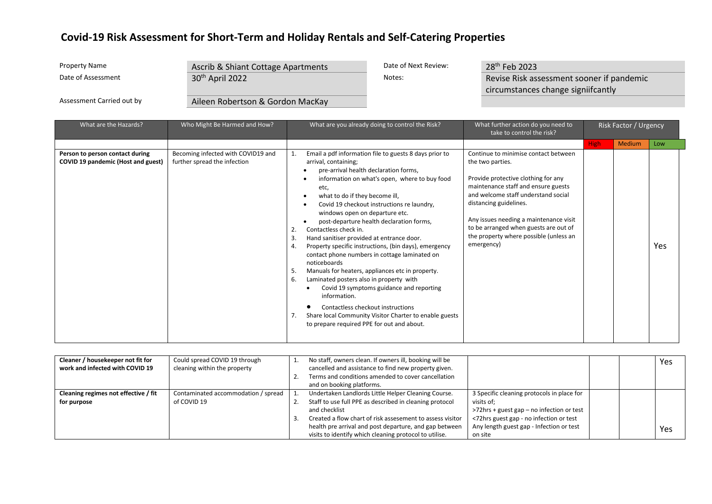| <b>Property Name</b>      | Ascrib & Shiant Cottage Apartments | Date of Next Review: | 28 <sup>th</sup> Feb 2023                 |
|---------------------------|------------------------------------|----------------------|-------------------------------------------|
| Date of Assessment        | 30 <sup>th</sup> April 2022        | Notes:               | Revise Risk assessment sooner if pandemic |
|                           |                                    |                      | circumstances change signiifcantly        |
| Assessment Carried out by | Aileen Robertson & Gordon MacKay   |                      |                                           |

| What are the Hazards?                                                 | Who Might Be Harmed and How?                                       | What are you already doing to control the Risk?                                                                                                                                                                                                                                                                                                                                                                                                                                                                                                                                                                                                                                                                                                                                                                                                                                | What further action do you need to<br>take to control the risk?                                                                                                                                                                                                                                                                                    |             | Risk Factor / Urgency |     |
|-----------------------------------------------------------------------|--------------------------------------------------------------------|--------------------------------------------------------------------------------------------------------------------------------------------------------------------------------------------------------------------------------------------------------------------------------------------------------------------------------------------------------------------------------------------------------------------------------------------------------------------------------------------------------------------------------------------------------------------------------------------------------------------------------------------------------------------------------------------------------------------------------------------------------------------------------------------------------------------------------------------------------------------------------|----------------------------------------------------------------------------------------------------------------------------------------------------------------------------------------------------------------------------------------------------------------------------------------------------------------------------------------------------|-------------|-----------------------|-----|
|                                                                       |                                                                    |                                                                                                                                                                                                                                                                                                                                                                                                                                                                                                                                                                                                                                                                                                                                                                                                                                                                                |                                                                                                                                                                                                                                                                                                                                                    | <b>High</b> | <b>Medium</b>         | Low |
| Person to person contact during<br>COVID 19 pandemic (Host and guest) | Becoming infected with COVID19 and<br>further spread the infection | Email a pdf information file to guests 8 days prior to<br>arrival, containing;<br>pre-arrival health declaration forms,<br>information on what's open, where to buy food<br>etc,<br>what to do if they become ill,<br>Covid 19 checkout instructions re laundry,<br>windows open on departure etc.<br>post-departure health declaration forms,<br>Contactless check in.<br>Hand sanitiser provided at entrance door.<br>3.<br>Property specific instructions, (bin days), emergency<br>4.<br>contact phone numbers in cottage laminated on<br>noticeboards<br>Manuals for heaters, appliances etc in property.<br>5.<br>Laminated posters also in property with<br>6.<br>Covid 19 symptoms guidance and reporting<br>information.<br>Contactless checkout instructions<br>Share local Community Visitor Charter to enable guests<br>to prepare required PPE for out and about. | Continue to minimise contact between<br>the two parties.<br>Provide protective clothing for any<br>maintenance staff and ensure guests<br>and welcome staff understand social<br>distancing guidelines.<br>Any issues needing a maintenance visit<br>to be arranged when guests are out of<br>the property where possible (unless an<br>emergency) |             |                       | Yes |

| Cleaner / housekeeper not fit for<br>work and infected with COVID 19 | Could spread COVID 19 through<br>cleaning within the property | No staff, owners clean. If owners ill, booking will be<br>cancelled and assistance to find new property given.<br>Terms and conditions amended to cover cancellation<br>and on booking platforms.                                                                                                                |                                                                                                                                                                                                         |  | Yes |
|----------------------------------------------------------------------|---------------------------------------------------------------|------------------------------------------------------------------------------------------------------------------------------------------------------------------------------------------------------------------------------------------------------------------------------------------------------------------|---------------------------------------------------------------------------------------------------------------------------------------------------------------------------------------------------------|--|-----|
| Cleaning regimes not effective / fit<br>for purpose                  | Contaminated accommodation / spread<br>of COVID 19            | Undertaken Landlords Little Helper Cleaning Course.<br>Staff to use full PPE as described in cleaning protocol<br>and checklist<br>Created a flow chart of risk assesement to assess visitor<br>health pre arrival and post departure, and gap between<br>visits to identify which cleaning protocol to utilise. | 3 Specific cleaning protocols in place for<br>visits of:<br>>72hrs + guest gap – no infection or test<br><72hrs guest gap - no infection or test<br>Any length guest gap - Infection or test<br>on site |  | Yes |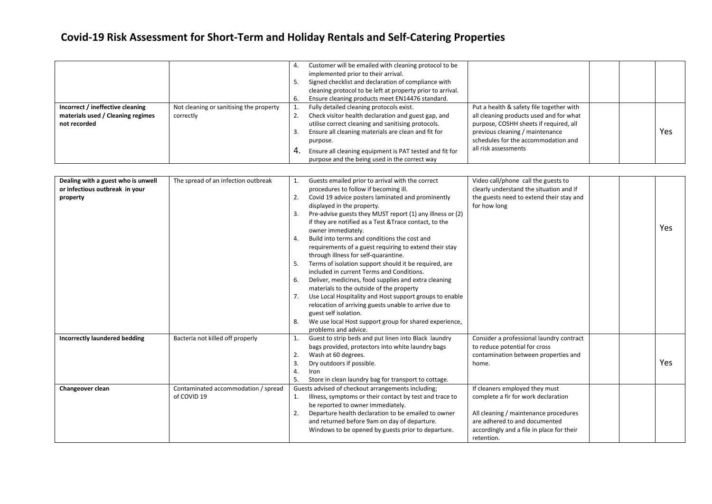|                                                                                       |                                                      | 4. | Customer will be emailed with cleaning protocol to be<br>implemented prior to their arrival.<br>Signed checklist and declaration of compliance with<br>cleaning protocol to be left at property prior to arrival.<br>Ensure cleaning products meet EN14476 standard.                                                                 |                                                                                                                                                                                                                                 |  |     |
|---------------------------------------------------------------------------------------|------------------------------------------------------|----|--------------------------------------------------------------------------------------------------------------------------------------------------------------------------------------------------------------------------------------------------------------------------------------------------------------------------------------|---------------------------------------------------------------------------------------------------------------------------------------------------------------------------------------------------------------------------------|--|-----|
| Incorrect / ineffective cleaning<br>materials used / Cleaning regimes<br>not recorded | Not cleaning or sanitising the property<br>correctly | 4  | Fully detailed cleaning protocols exist.<br>Check visitor health declaration and guest gap, and<br>utilise correct cleaning and sanitising protocols.<br>Ensure all cleaning materials are clean and fit for<br>purpose.<br>Ensure all cleaning equipment is PAT tested and fit for<br>purpose and the being used in the correct way | Put a health & safety file together with<br>all cleaning products used and for what<br>purpose, COSHH sheets if required, all<br>previous cleaning / maintenance<br>schedules for the accommodation and<br>all risk assessments |  | Yes |

| Dealing with a guest who is unwell<br>or infectious outbreak in your<br>property | The spread of an infection outbreak                | 1.<br>2.<br>-3.<br>$\overline{4}$<br>-5.<br>6.<br>7.<br>8. | Guests emailed prior to arrival with the correct<br>procedures to follow if becoming ill.<br>Covid 19 advice posters laminated and prominently<br>displayed in the property.<br>Pre-advise guests they MUST report (1) any illness or (2)<br>if they are notified as a Test & Trace contact, to the<br>owner immediately.<br>Build into terms and conditions the cost and<br>requirements of a guest requiring to extend their stay<br>through illness for self-quarantine.<br>Terms of isolation support should it be required, are<br>included in current Terms and Conditions.<br>Deliver, medicines, food supplies and extra cleaning<br>materials to the outside of the property<br>Use Local Hospitality and Host support groups to enable<br>relocation of arriving guests unable to arrive due to<br>guest self isolation.<br>We use local Host support group for shared experience,<br>problems and advice. | Video call/phone call the guests to<br>clearly understand the situation and if<br>the guests need to extend their stay and<br>for how long                                                                 |  | Yes |
|----------------------------------------------------------------------------------|----------------------------------------------------|------------------------------------------------------------|----------------------------------------------------------------------------------------------------------------------------------------------------------------------------------------------------------------------------------------------------------------------------------------------------------------------------------------------------------------------------------------------------------------------------------------------------------------------------------------------------------------------------------------------------------------------------------------------------------------------------------------------------------------------------------------------------------------------------------------------------------------------------------------------------------------------------------------------------------------------------------------------------------------------|------------------------------------------------------------------------------------------------------------------------------------------------------------------------------------------------------------|--|-----|
| <b>Incorrectly laundered bedding</b>                                             | Bacteria not killed off properly                   | 1.<br>2.<br>3<br>.5                                        | Guest to strip beds and put linen into Black laundry<br>bags provided, protectors into white laundry bags<br>Wash at 60 degrees.<br>Dry outdoors if possible.<br>Iron<br>Store in clean laundry bag for transport to cottage.                                                                                                                                                                                                                                                                                                                                                                                                                                                                                                                                                                                                                                                                                        | Consider a professional laundry contract<br>to reduce potential for cross<br>contamination between properties and<br>home.                                                                                 |  | Yes |
| Changeover clean                                                                 | Contaminated accommodation / spread<br>of COVID 19 | 1.<br>2.                                                   | Guests advised of checkout arrangements including;<br>Illness, symptoms or their contact by test and trace to<br>be reported to owner immediately.<br>Departure health declaration to be emailed to owner<br>and returned before 9am on day of departure.<br>Windows to be opened by guests prior to departure.                                                                                                                                                                                                                                                                                                                                                                                                                                                                                                                                                                                                      | If cleaners employed they must<br>complete a fir for work declaration<br>All cleaning / maintenance procedures<br>are adhered to and documented<br>accordingly and a file in place for their<br>retention. |  |     |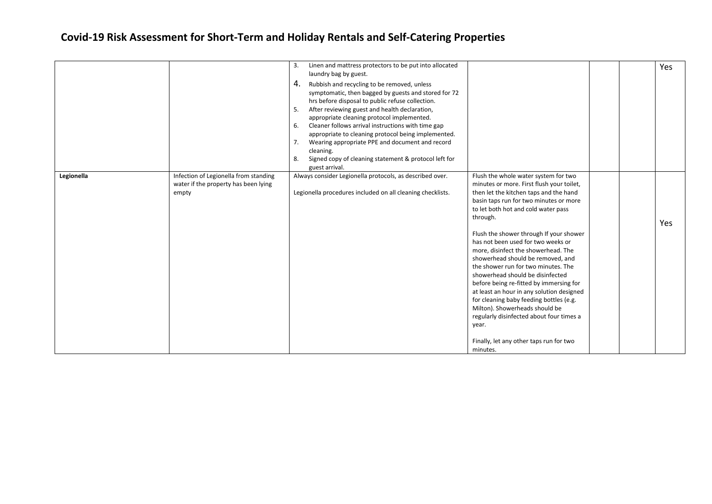|            |                                                                                        | Linen and mattress protectors to be put into allocated<br>3.<br>laundry bag by guest.<br>4.<br>Rubbish and recycling to be removed, unless<br>symptomatic, then bagged by guests and stored for 72<br>hrs before disposal to public refuse collection.<br>After reviewing guest and health declaration,<br>5.<br>appropriate cleaning protocol implemented.<br>Cleaner follows arrival instructions with time gap<br>6.<br>appropriate to cleaning protocol being implemented.<br>7.<br>Wearing appropriate PPE and document and record<br>cleaning.<br>Signed copy of cleaning statement & protocol left for<br>8.<br>guest arrival. |                                                                                                                                                                                                                                                                                                                                                                                                                                                                                                                                                                                                                                                                                                                                                   |  | Yes |
|------------|----------------------------------------------------------------------------------------|---------------------------------------------------------------------------------------------------------------------------------------------------------------------------------------------------------------------------------------------------------------------------------------------------------------------------------------------------------------------------------------------------------------------------------------------------------------------------------------------------------------------------------------------------------------------------------------------------------------------------------------|---------------------------------------------------------------------------------------------------------------------------------------------------------------------------------------------------------------------------------------------------------------------------------------------------------------------------------------------------------------------------------------------------------------------------------------------------------------------------------------------------------------------------------------------------------------------------------------------------------------------------------------------------------------------------------------------------------------------------------------------------|--|-----|
| Legionella | Infection of Legionella from standing<br>water if the property has been lying<br>empty | Always consider Legionella protocols, as described over.<br>Legionella procedures included on all cleaning checklists.                                                                                                                                                                                                                                                                                                                                                                                                                                                                                                                | Flush the whole water system for two<br>minutes or more. First flush your toilet,<br>then let the kitchen taps and the hand<br>basin taps run for two minutes or more<br>to let both hot and cold water pass<br>through.<br>Flush the shower through If your shower<br>has not been used for two weeks or<br>more, disinfect the showerhead. The<br>showerhead should be removed, and<br>the shower run for two minutes. The<br>showerhead should be disinfected<br>before being re-fitted by immersing for<br>at least an hour in any solution designed<br>for cleaning baby feeding bottles (e.g.<br>Milton). Showerheads should be<br>regularly disinfected about four times a<br>year.<br>Finally, let any other taps run for two<br>minutes. |  | Yes |